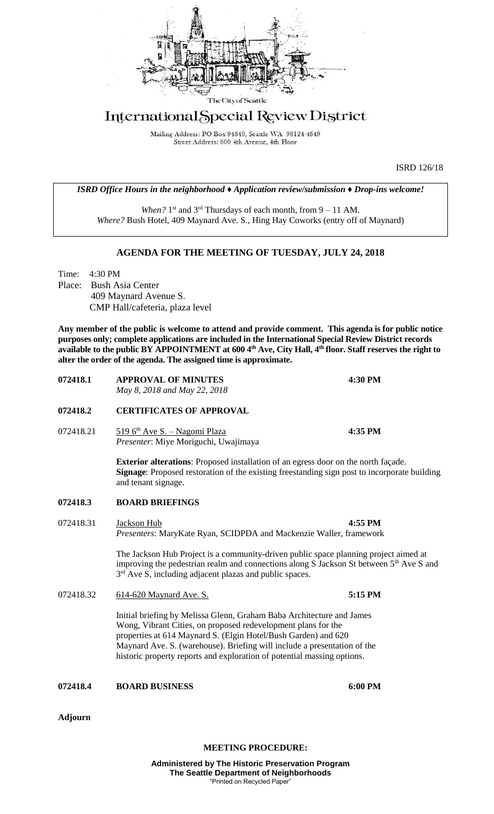

## International Special Review District

Mailing Address: PO Box 94649, Seattle WA 98124-4649 Street Address: 600 4th Avenue, 4th Floor

ISRD 126/18

*ISRD Office Hours in the neighborhood ♦ Application review/submission ♦ Drop-ins welcome!*

When? 1<sup>st</sup> and 3<sup>rd</sup> Thursdays of each month, from 9 – 11 AM. *Where?* Bush Hotel, 409 Maynard Ave. S., Hing Hay Coworks (entry off of Maynard)

## **AGENDA FOR THE MEETING OF TUESDAY, JULY 24, 2018**

Time: 4:30 PM Place: Bush Asia Center 409 Maynard Avenue S. CMP Hall/cafeteria, plaza level

**Any member of the public is welcome to attend and provide comment. This agenda is for public notice purposes only; complete applications are included in the International Special Review District records available to the public BY APPOINTMENT at 600 4th Ave, City Hall, 4th floor. Staff reserves the right to alter the order of the agenda. The assigned time is approximate.** 

| <b>072418.1</b> | <b>APPROVAL OF MINUTES</b><br>May 8, 2018 and May 22, 2018                     | 4:30 PM |
|-----------------|--------------------------------------------------------------------------------|---------|
| <b>072418.2</b> | <b>CERTIFICATES OF APPROVAL</b>                                                |         |
| 072418.21       | 519 $6th$ Ave S. – Nagomi Plaza<br><i>Presenter:</i> Miye Moriguchi, Uwajimaya | 4:35 PM |
|                 | Exterior elterational Dreposed instellation of an equal deep on the next fees  |         |

**Exterior alterations**: Proposed installation of an egress door on the north façade. **Signage**: Proposed restoration of the existing freestanding sign post to incorporate building and tenant signage.

## **072418.3 BOARD BRIEFINGS**

072418.31 Jackson Hub **4:55 PM** *Presenters*: MaryKate Ryan, SCIDPDA and Mackenzie Waller, framework

> The Jackson Hub Project is a community-driven public space planning project aimed at improving the pedestrian realm and connections along S Jackson St between  $5<sup>th</sup>$  Ave S and 3<sup>rd</sup> Ave S, including adjacent plazas and public spaces.

072418.32 614-620 Maynard Ave. S. **5:15 PM**

Initial briefing by Melissa Glenn, Graham Baba Architecture and James Wong, Vibrant Cities, on proposed redevelopment plans for the properties at 614 Maynard S. (Elgin Hotel/Bush Garden) and 620 Maynard Ave. S. (warehouse). Briefing will include a presentation of the historic property reports and exploration of potential massing options.

**072418.4 BOARD BUSINESS 6:00 PM**

**Adjourn**

**MEETING PROCEDURE:**